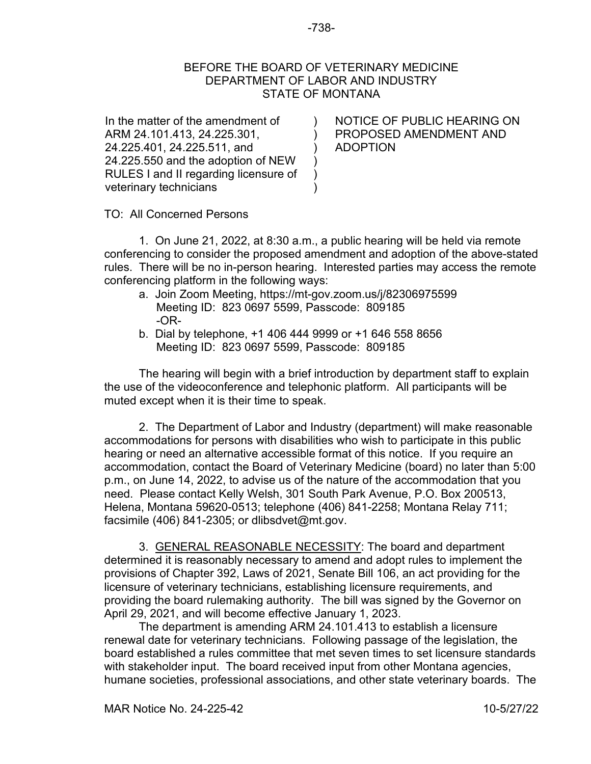## BEFORE THE BOARD OF VETERINARY MEDICINE DEPARTMENT OF LABOR AND INDUSTRY STATE OF MONTANA

 $\lambda$ ) ) ) ) )

In the matter of the amendment of ARM 24.101.413, 24.225.301, 24.225.401, 24.225.511, and 24.225.550 and the adoption of NEW RULES I and II regarding licensure of veterinary technicians

NOTICE OF PUBLIC HEARING ON PROPOSED AMENDMENT AND ADOPTION

TO: All Concerned Persons

1. On June 21, 2022, at 8:30 a.m., a public hearing will be held via remote conferencing to consider the proposed amendment and adoption of the above-stated rules. There will be no in-person hearing. Interested parties may access the remote conferencing platform in the following ways:

- a. Join Zoom Meeting, https://mt-gov.zoom.us/j/82306975599 Meeting ID: 823 0697 5599, Passcode: 809185 -OR-
- b. Dial by telephone, +1 406 444 9999 or +1 646 558 8656 Meeting ID: 823 0697 5599, Passcode: 809185

The hearing will begin with a brief introduction by department staff to explain the use of the videoconference and telephonic platform. All participants will be muted except when it is their time to speak.

2. The Department of Labor and Industry (department) will make reasonable accommodations for persons with disabilities who wish to participate in this public hearing or need an alternative accessible format of this notice. If you require an accommodation, contact the Board of Veterinary Medicine (board) no later than 5:00 p.m., on June 14, 2022, to advise us of the nature of the accommodation that you need. Please contact Kelly Welsh, 301 South Park Avenue, P.O. Box 200513, Helena, Montana 59620-0513; telephone (406) 841-2258; Montana Relay 711; facsimile (406) 841-2305; or dlibsdvet@mt.gov.

3. GENERAL REASONABLE NECESSITY: The board and department determined it is reasonably necessary to amend and adopt rules to implement the provisions of Chapter 392, Laws of 2021, Senate Bill 106, an act providing for the licensure of veterinary technicians, establishing licensure requirements, and providing the board rulemaking authority. The bill was signed by the Governor on April 29, 2021, and will become effective January 1, 2023.

The department is amending ARM 24.101.413 to establish a licensure renewal date for veterinary technicians. Following passage of the legislation, the board established a rules committee that met seven times to set licensure standards with stakeholder input. The board received input from other Montana agencies, humane societies, professional associations, and other state veterinary boards. The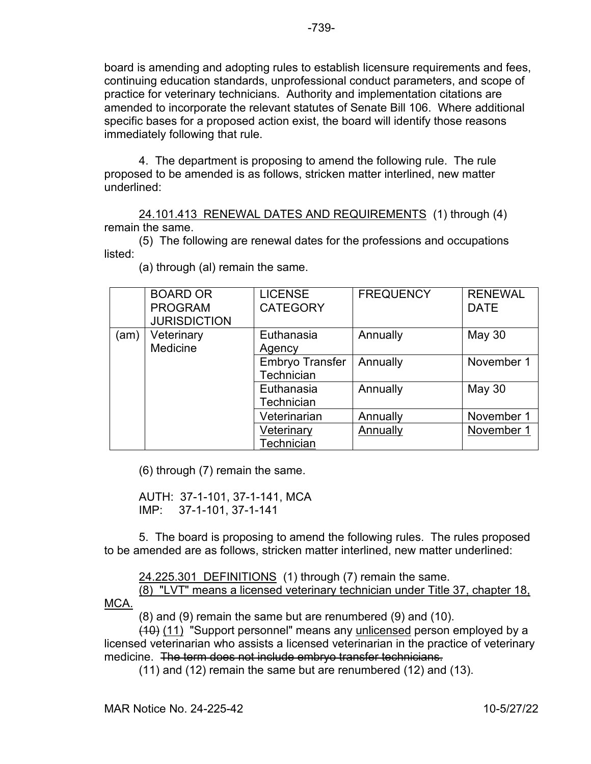board is amending and adopting rules to establish licensure requirements and fees, continuing education standards, unprofessional conduct parameters, and scope of practice for veterinary technicians. Authority and implementation citations are amended to incorporate the relevant statutes of Senate Bill 106. Where additional specific bases for a proposed action exist, the board will identify those reasons immediately following that rule.

4. The department is proposing to amend the following rule. The rule proposed to be amended is as follows, stricken matter interlined, new matter underlined:

24.101.413 RENEWAL DATES AND REQUIREMENTS (1) through (4) remain the same.

(5) The following are renewal dates for the professions and occupations listed:

|      | <b>BOARD OR</b><br><b>PROGRAM</b><br><b>JURISDICTION</b> | <b>LICENSE</b><br><b>CATEGORY</b>           | <b>FREQUENCY</b> | <b>RENEWAL</b><br><b>DATE</b> |
|------|----------------------------------------------------------|---------------------------------------------|------------------|-------------------------------|
| (am) | Veterinary<br>Medicine                                   | Euthanasia<br>Agency                        | Annually         | <b>May 30</b>                 |
|      |                                                          | <b>Embryo Transfer</b><br><b>Technician</b> | Annually         | November 1                    |
|      |                                                          | Euthanasia<br>Technician                    | Annually         | <b>May 30</b>                 |
|      |                                                          | Veterinarian                                | Annually         | November 1                    |
|      |                                                          | Veterinary<br>Technician                    | Annually         | November 1                    |

(a) through (al) remain the same.

(6) through (7) remain the same.

AUTH: 37-1-101, 37-1-141, MCA IMP: 37-1-101, 37-1-141

5. The board is proposing to amend the following rules. The rules proposed to be amended are as follows, stricken matter interlined, new matter underlined:

24.225.301 DEFINITIONS (1) through (7) remain the same.

(8) "LVT" means a licensed veterinary technician under Title 37, chapter 18, MCA.

(8) and (9) remain the same but are renumbered (9) and (10).

(10) (11) "Support personnel" means any unlicensed person employed by a licensed veterinarian who assists a licensed veterinarian in the practice of veterinary medicine. The term does not include embryo transfer technicians.

(11) and (12) remain the same but are renumbered (12) and (13).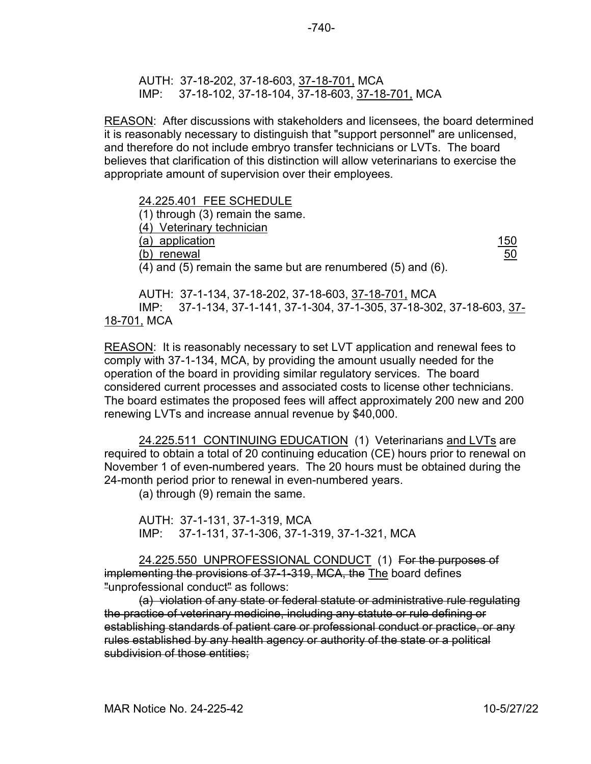AUTH: 37-18-202, 37-18-603, 37-18-701, MCA IMP: 37-18-102, 37-18-104, 37-18-603, 37-18-701, MCA

REASON: After discussions with stakeholders and licensees, the board determined it is reasonably necessary to distinguish that "support personnel" are unlicensed, and therefore do not include embryo transfer technicians or LVTs. The board believes that clarification of this distinction will allow veterinarians to exercise the appropriate amount of supervision over their employees.

24.225.401 FEE SCHEDULE (1) through (3) remain the same. (4) Veterinary technician (a) application 150 (b) renewal 50 (4) and (5) remain the same but are renumbered (5) and (6).

AUTH: 37-1-134, 37-18-202, 37-18-603, 37-18-701, MCA IMP: 37-1-134, 37-1-141, 37-1-304, 37-1-305, 37-18-302, 37-18-603, 37- 18-701, MCA

REASON: It is reasonably necessary to set LVT application and renewal fees to comply with 37-1-134, MCA, by providing the amount usually needed for the operation of the board in providing similar regulatory services. The board considered current processes and associated costs to license other technicians. The board estimates the proposed fees will affect approximately 200 new and 200 renewing LVTs and increase annual revenue by \$40,000.

24.225.511 CONTINUING EDUCATION (1) Veterinarians and LVTs are required to obtain a total of 20 continuing education (CE) hours prior to renewal on November 1 of even-numbered years. The 20 hours must be obtained during the 24-month period prior to renewal in even-numbered years.

(a) through (9) remain the same.

AUTH: 37-1-131, 37-1-319, MCA IMP: 37-1-131, 37-1-306, 37-1-319, 37-1-321, MCA

24.225.550 UNPROFESSIONAL CONDUCT (1) For the purposes of implementing the provisions of 37-1-319, MCA, the The board defines "unprofessional conduct" as follows:

(a) violation of any state or federal statute or administrative rule regulating the practice of veterinary medicine, including any statute or rule defining or establishing standards of patient care or professional conduct or practice, or any rules established by any health agency or authority of the state or a political subdivision of those entities;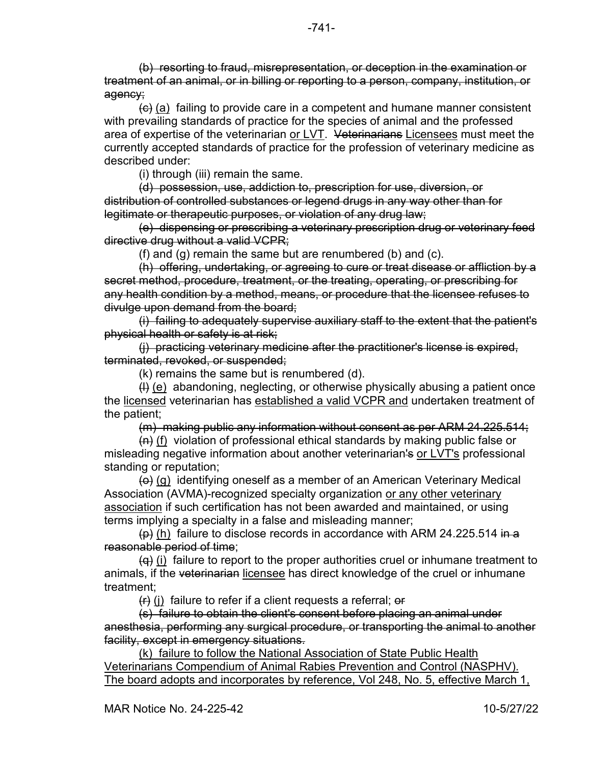(b) resorting to fraud, misrepresentation, or deception in the examination or treatment of an animal, or in billing or reporting to a person, company, institution, or agency;

 $\left(\theta\right)$  (a) failing to provide care in a competent and humane manner consistent with prevailing standards of practice for the species of animal and the professed area of expertise of the veterinarian or LVT. Veterinarians Licensees must meet the currently accepted standards of practice for the profession of veterinary medicine as described under:

(i) through (iii) remain the same.

(d) possession, use, addiction to, prescription for use, diversion, or distribution of controlled substances or legend drugs in any way other than for legitimate or therapeutic purposes, or violation of any drug law;

(e) dispensing or prescribing a veterinary prescription drug or veterinary feed directive drug without a valid VCPR;

(f) and (g) remain the same but are renumbered (b) and (c).

(h) offering, undertaking, or agreeing to cure or treat disease or affliction by a secret method, procedure, treatment, or the treating, operating, or prescribing for any health condition by a method, means, or procedure that the licensee refuses to divulge upon demand from the board;

(i) failing to adequately supervise auxiliary staff to the extent that the patient's physical health or safety is at risk;

(j) practicing veterinary medicine after the practitioner's license is expired, terminated, revoked, or suspended;

(k) remains the same but is renumbered (d).

 $(H)$  (e) abandoning, neglecting, or otherwise physically abusing a patient once the licensed veterinarian has established a valid VCPR and undertaken treatment of the patient;

(m) making public any information without consent as per ARM 24.225.514;

 $(n)$  (f) violation of professional ethical standards by making public false or misleading negative information about another veterinarian's or LVT's professional standing or reputation;

 $\leftrightarrow$  (g) identifying oneself as a member of an American Veterinary Medical Association (AVMA)-recognized specialty organization or any other veterinary association if such certification has not been awarded and maintained, or using terms implying a specialty in a false and misleading manner;

 $(p)$  (h) failure to disclose records in accordance with ARM 24.225.514 in a reasonable period of time;

 $\overline{(q)}$  (i) failure to report to the proper authorities cruel or inhumane treatment to animals, if the veterinarian licensee has direct knowledge of the cruel or inhumane treatment;

 $(f)$  (i) failure to refer if a client requests a referral;  $\Theta$ 

(s) failure to obtain the client's consent before placing an animal under anesthesia, performing any surgical procedure, or transporting the animal to another facility, except in emergency situations.

(k) failure to follow the National Association of State Public Health Veterinarians Compendium of Animal Rabies Prevention and Control (NASPHV). The board adopts and incorporates by reference, Vol 248, No. 5, effective March 1,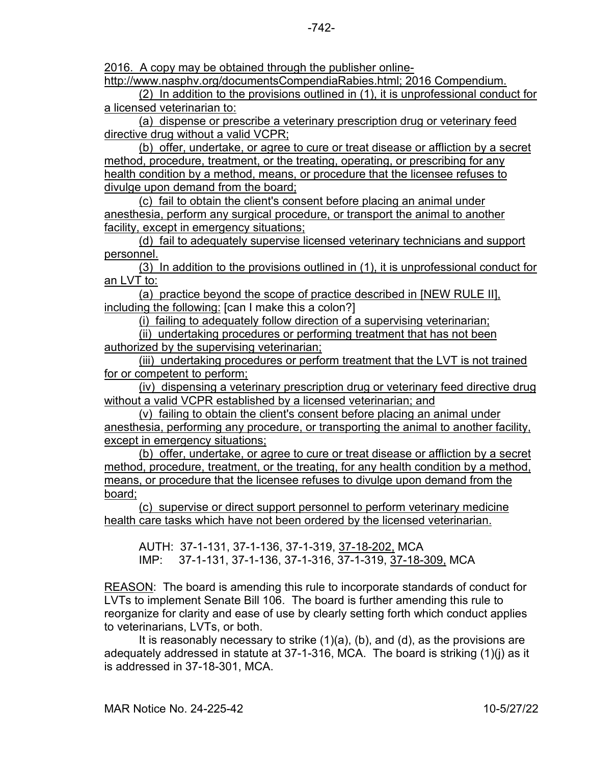2016. A copy may be obtained through the publisher online-

http://www.nasphv.org/documentsCompendiaRabies.html; 2016 Compendium.

(2) In addition to the provisions outlined in (1), it is unprofessional conduct for a licensed veterinarian to:

(a) dispense or prescribe a veterinary prescription drug or veterinary feed directive drug without a valid VCPR;

(b) offer, undertake, or agree to cure or treat disease or affliction by a secret method, procedure, treatment, or the treating, operating, or prescribing for any health condition by a method, means, or procedure that the licensee refuses to divulge upon demand from the board;

(c) fail to obtain the client's consent before placing an animal under anesthesia, perform any surgical procedure, or transport the animal to another facility, except in emergency situations;

(d) fail to adequately supervise licensed veterinary technicians and support personnel.

(3) In addition to the provisions outlined in (1), it is unprofessional conduct for an LVT to:

(a) practice beyond the scope of practice described in [NEW RULE II], including the following: [can I make this a colon?]

(i) failing to adequately follow direction of a supervising veterinarian;

(ii) undertaking procedures or performing treatment that has not been authorized by the supervising veterinarian;

(iii) undertaking procedures or perform treatment that the LVT is not trained for or competent to perform;

(iv) dispensing a veterinary prescription drug or veterinary feed directive drug without a valid VCPR established by a licensed veterinarian; and

(v) failing to obtain the client's consent before placing an animal under anesthesia, performing any procedure, or transporting the animal to another facility, except in emergency situations;

(b) offer, undertake, or agree to cure or treat disease or affliction by a secret method, procedure, treatment, or the treating, for any health condition by a method, means, or procedure that the licensee refuses to divulge upon demand from the board;

(c) supervise or direct support personnel to perform veterinary medicine health care tasks which have not been ordered by the licensed veterinarian.

AUTH: 37-1-131, 37-1-136, 37-1-319, 37-18-202, MCA IMP: 37-1-131, 37-1-136, 37-1-316, 37-1-319, 37-18-309, MCA

REASON: The board is amending this rule to incorporate standards of conduct for LVTs to implement Senate Bill 106. The board is further amending this rule to reorganize for clarity and ease of use by clearly setting forth which conduct applies to veterinarians, LVTs, or both.

It is reasonably necessary to strike  $(1)(a)$ ,  $(b)$ , and  $(d)$ , as the provisions are adequately addressed in statute at 37-1-316, MCA. The board is striking (1)(j) as it is addressed in 37-18-301, MCA.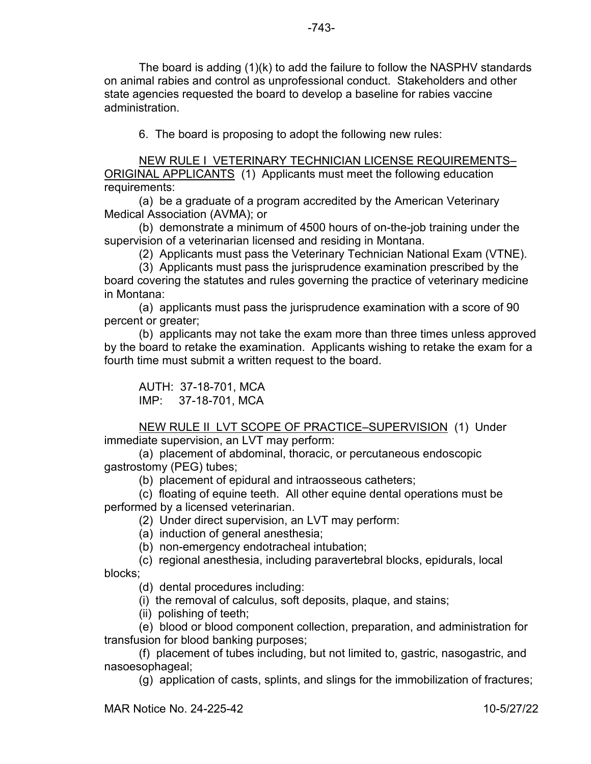The board is adding (1)(k) to add the failure to follow the NASPHV standards on animal rabies and control as unprofessional conduct. Stakeholders and other state agencies requested the board to develop a baseline for rabies vaccine administration.

6. The board is proposing to adopt the following new rules:

NEW RULE I VETERINARY TECHNICIAN LICENSE REQUIREMENTS– ORIGINAL APPLICANTS (1) Applicants must meet the following education requirements:

(a) be a graduate of a program accredited by the American Veterinary Medical Association (AVMA); or

(b) demonstrate a minimum of 4500 hours of on-the-job training under the supervision of a veterinarian licensed and residing in Montana.

(2) Applicants must pass the Veterinary Technician National Exam (VTNE).

(3) Applicants must pass the jurisprudence examination prescribed by the board covering the statutes and rules governing the practice of veterinary medicine in Montana:

(a) applicants must pass the jurisprudence examination with a score of 90 percent or greater;

(b) applicants may not take the exam more than three times unless approved by the board to retake the examination. Applicants wishing to retake the exam for a fourth time must submit a written request to the board.

AUTH: 37-18-701, MCA IMP: 37-18-701, MCA

NEW RULE II LVT SCOPE OF PRACTICE–SUPERVISION (1) Under immediate supervision, an LVT may perform:

(a) placement of abdominal, thoracic, or percutaneous endoscopic gastrostomy (PEG) tubes;

(b) placement of epidural and intraosseous catheters;

(c) floating of equine teeth. All other equine dental operations must be performed by a licensed veterinarian.

(2) Under direct supervision, an LVT may perform:

(a) induction of general anesthesia;

(b) non-emergency endotracheal intubation;

(c) regional anesthesia, including paravertebral blocks, epidurals, local blocks;

(d) dental procedures including:

(i) the removal of calculus, soft deposits, plaque, and stains;

(ii) polishing of teeth;

(e) blood or blood component collection, preparation, and administration for transfusion for blood banking purposes;

(f) placement of tubes including, but not limited to, gastric, nasogastric, and nasoesophageal;

(g) application of casts, splints, and slings for the immobilization of fractures;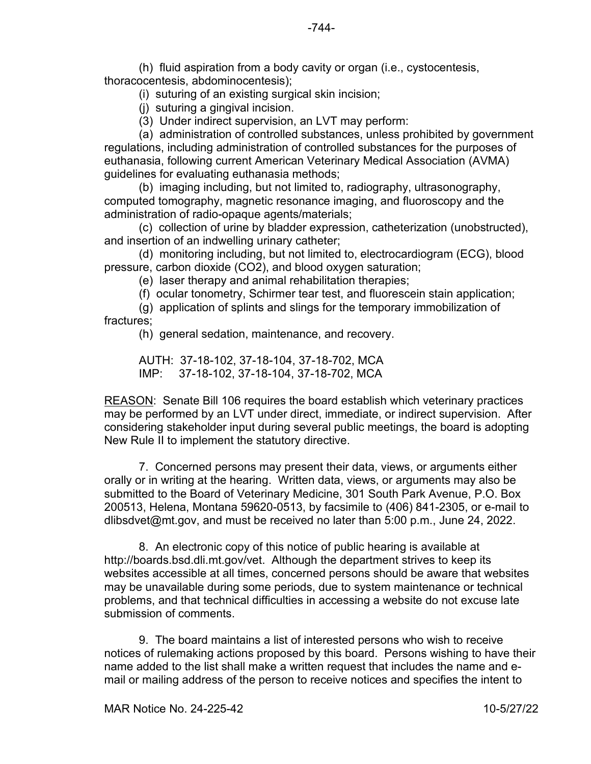(h) fluid aspiration from a body cavity or organ (i.e., cystocentesis, thoracocentesis, abdominocentesis);

(i) suturing of an existing surgical skin incision;

(j) suturing a gingival incision.

(3) Under indirect supervision, an LVT may perform:

(a) administration of controlled substances, unless prohibited by government regulations, including administration of controlled substances for the purposes of euthanasia, following current American Veterinary Medical Association (AVMA) guidelines for evaluating euthanasia methods;

(b) imaging including, but not limited to, radiography, ultrasonography, computed tomography, magnetic resonance imaging, and fluoroscopy and the administration of radio-opaque agents/materials;

(c) collection of urine by bladder expression, catheterization (unobstructed), and insertion of an indwelling urinary catheter;

(d) monitoring including, but not limited to, electrocardiogram (ECG), blood pressure, carbon dioxide (CO2), and blood oxygen saturation;

(e) laser therapy and animal rehabilitation therapies;

(f) ocular tonometry, Schirmer tear test, and fluorescein stain application;

(g) application of splints and slings for the temporary immobilization of fractures;

(h) general sedation, maintenance, and recovery.

AUTH: 37-18-102, 37-18-104, 37-18-702, MCA IMP: 37-18-102, 37-18-104, 37-18-702, MCA

REASON: Senate Bill 106 requires the board establish which veterinary practices may be performed by an LVT under direct, immediate, or indirect supervision. After considering stakeholder input during several public meetings, the board is adopting New Rule II to implement the statutory directive.

 7. Concerned persons may present their data, views, or arguments either orally or in writing at the hearing. Written data, views, or arguments may also be submitted to the Board of Veterinary Medicine, 301 South Park Avenue, P.O. Box 200513, Helena, Montana 59620-0513, by facsimile to (406) 841-2305, or e-mail to dlibsdvet@mt.gov, and must be received no later than 5:00 p.m., June 24, 2022.

 8. An electronic copy of this notice of public hearing is available at http://boards.bsd.dli.mt.gov/vet. Although the department strives to keep its websites accessible at all times, concerned persons should be aware that websites may be unavailable during some periods, due to system maintenance or technical problems, and that technical difficulties in accessing a website do not excuse late submission of comments.

 9. The board maintains a list of interested persons who wish to receive notices of rulemaking actions proposed by this board. Persons wishing to have their name added to the list shall make a written request that includes the name and email or mailing address of the person to receive notices and specifies the intent to